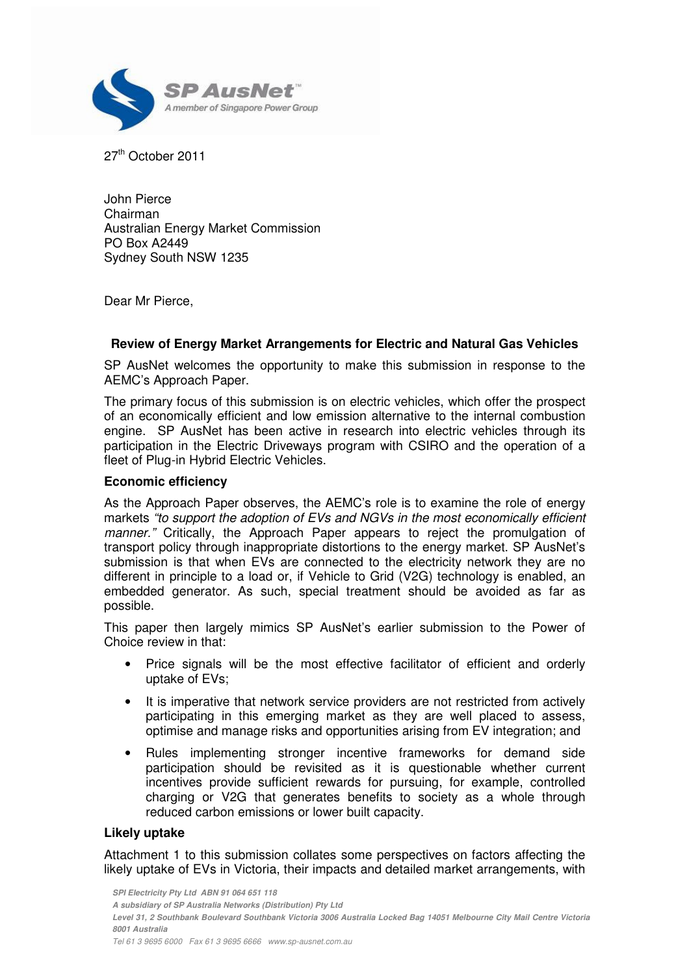

27<sup>th</sup> October 2011

John Pierce Chairman Australian Energy Market Commission PO Box A2449 Sydney South NSW 1235

Dear Mr Pierce,

# **Review of Energy Market Arrangements for Electric and Natural Gas Vehicles**

SP AusNet welcomes the opportunity to make this submission in response to the AEMC's Approach Paper.

The primary focus of this submission is on electric vehicles, which offer the prospect of an economically efficient and low emission alternative to the internal combustion engine. SP AusNet has been active in research into electric vehicles through its participation in the Electric Driveways program with CSIRO and the operation of a fleet of Plug-in Hybrid Electric Vehicles.

#### **Economic efficiency**

As the Approach Paper observes, the AEMC's role is to examine the role of energy markets "to support the adoption of EVs and NGVs in the most economically efficient manner." Critically, the Approach Paper appears to reject the promulgation of transport policy through inappropriate distortions to the energy market. SP AusNet's submission is that when EVs are connected to the electricity network they are no different in principle to a load or, if Vehicle to Grid (V2G) technology is enabled, an embedded generator. As such, special treatment should be avoided as far as possible.

This paper then largely mimics SP AusNet's earlier submission to the Power of Choice review in that:

- Price signals will be the most effective facilitator of efficient and orderly uptake of EVs;
- It is imperative that network service providers are not restricted from actively participating in this emerging market as they are well placed to assess, optimise and manage risks and opportunities arising from EV integration; and
- Rules implementing stronger incentive frameworks for demand side participation should be revisited as it is questionable whether current incentives provide sufficient rewards for pursuing, for example, controlled charging or V2G that generates benefits to society as a whole through reduced carbon emissions or lower built capacity.

# **Likely uptake**

Attachment 1 to this submission collates some perspectives on factors affecting the likely uptake of EVs in Victoria, their impacts and detailed market arrangements, with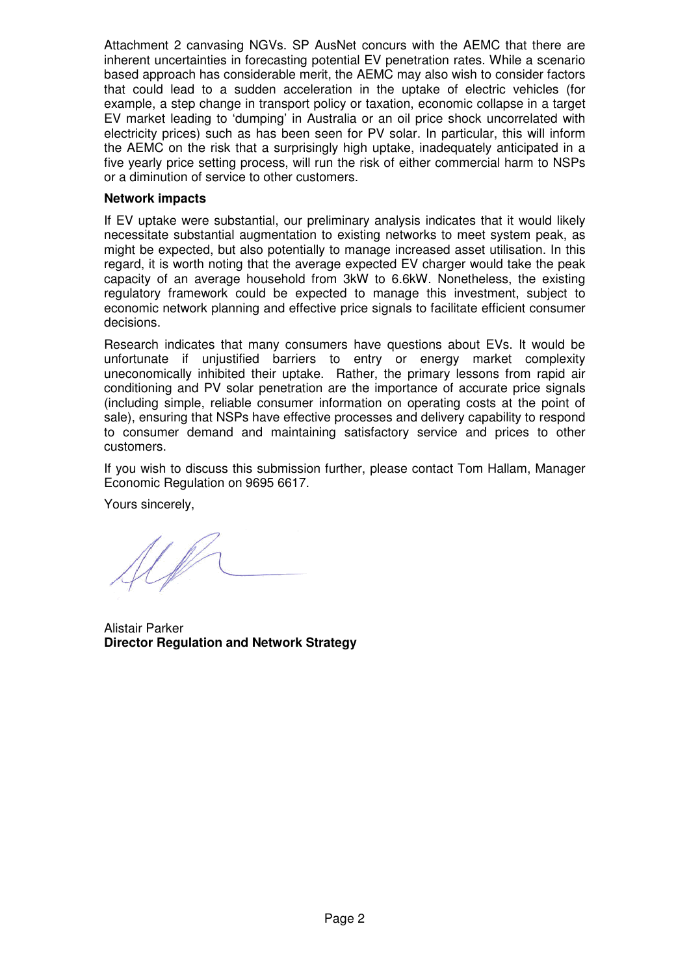Attachment 2 canvasing NGVs. SP AusNet concurs with the AEMC that there are inherent uncertainties in forecasting potential EV penetration rates. While a scenario based approach has considerable merit, the AEMC may also wish to consider factors that could lead to a sudden acceleration in the uptake of electric vehicles (for example, a step change in transport policy or taxation, economic collapse in a target EV market leading to 'dumping' in Australia or an oil price shock uncorrelated with electricity prices) such as has been seen for PV solar. In particular, this will inform the AEMC on the risk that a surprisingly high uptake, inadequately anticipated in a five yearly price setting process, will run the risk of either commercial harm to NSPs or a diminution of service to other customers.

# **Network impacts**

If EV uptake were substantial, our preliminary analysis indicates that it would likely necessitate substantial augmentation to existing networks to meet system peak, as might be expected, but also potentially to manage increased asset utilisation. In this regard, it is worth noting that the average expected EV charger would take the peak capacity of an average household from 3kW to 6.6kW. Nonetheless, the existing regulatory framework could be expected to manage this investment, subject to economic network planning and effective price signals to facilitate efficient consumer decisions.

Research indicates that many consumers have questions about EVs. It would be unfortunate if unjustified barriers to entry or energy market complexity uneconomically inhibited their uptake. Rather, the primary lessons from rapid air conditioning and PV solar penetration are the importance of accurate price signals (including simple, reliable consumer information on operating costs at the point of sale), ensuring that NSPs have effective processes and delivery capability to respond to consumer demand and maintaining satisfactory service and prices to other customers.

If you wish to discuss this submission further, please contact Tom Hallam, Manager Economic Regulation on 9695 6617.

Yours sincerely,

U D

Alistair Parker **Director Regulation and Network Strategy**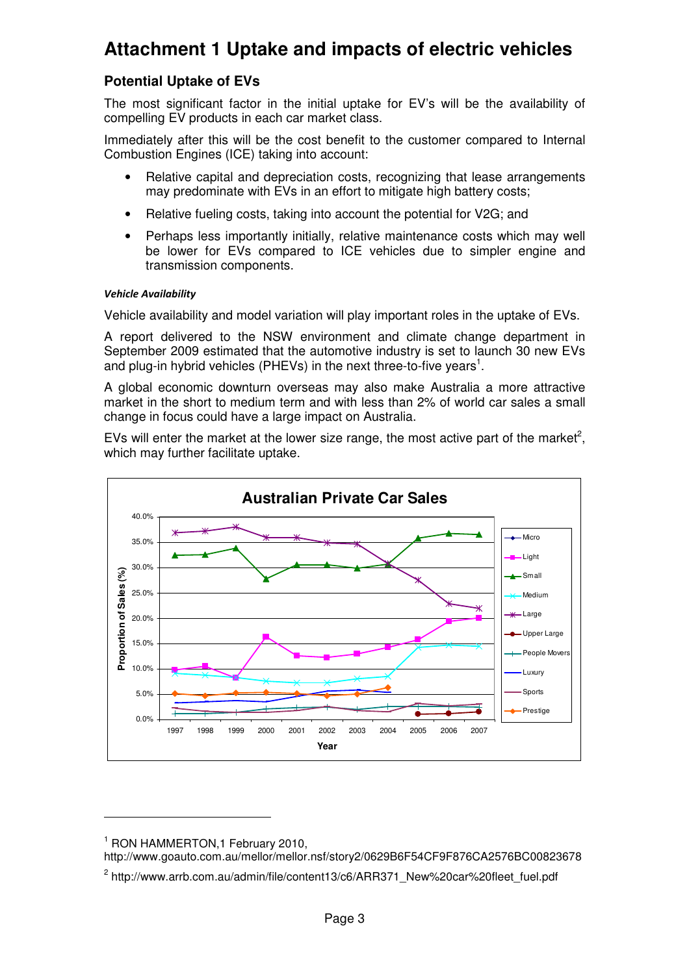# **Attachment 1 Uptake and impacts of electric vehicles**

# **Potential Uptake of EVs**

The most significant factor in the initial uptake for EV's will be the availability of compelling EV products in each car market class.

Immediately after this will be the cost benefit to the customer compared to Internal Combustion Engines (ICE) taking into account:

- Relative capital and depreciation costs, recognizing that lease arrangements may predominate with EVs in an effort to mitigate high battery costs;
- Relative fueling costs, taking into account the potential for V2G; and
- Perhaps less importantly initially, relative maintenance costs which may well be lower for EVs compared to ICE vehicles due to simpler engine and transmission components.

#### Vehicle Availability

Vehicle availability and model variation will play important roles in the uptake of EVs.

A report delivered to the NSW environment and climate change department in September 2009 estimated that the automotive industry is set to launch 30 new EVs and plug-in hybrid vehicles (PHEVs) in the next three-to-five years<sup>1</sup>.

A global economic downturn overseas may also make Australia a more attractive market in the short to medium term and with less than 2% of world car sales a small change in focus could have a large impact on Australia.

EVs will enter the market at the lower size range, the most active part of the market<sup>2</sup>, which may further facilitate uptake.



 $\overline{a}$ 

http://www.goauto.com.au/mellor/mellor.nsf/story2/0629B6F54CF9F876CA2576BC00823678

<sup>1</sup> RON HAMMERTON,1 February 2010,

<sup>&</sup>lt;sup>2</sup> http://www.arrb.com.au/admin/file/content13/c6/ARR371\_New%20car%20fleet\_fuel.pdf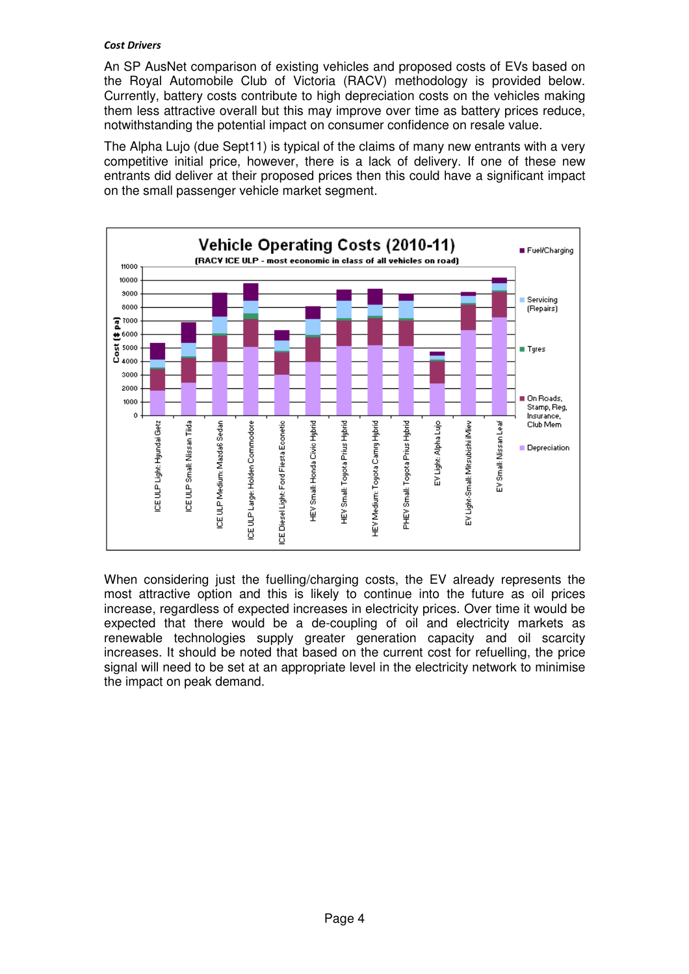#### Cost Drivers

An SP AusNet comparison of existing vehicles and proposed costs of EVs based on the Royal Automobile Club of Victoria (RACV) methodology is provided below. Currently, battery costs contribute to high depreciation costs on the vehicles making them less attractive overall but this may improve over time as battery prices reduce, notwithstanding the potential impact on consumer confidence on resale value.

The Alpha Lujo (due Sept11) is typical of the claims of many new entrants with a very competitive initial price, however, there is a lack of delivery. If one of these new entrants did deliver at their proposed prices then this could have a significant impact on the small passenger vehicle market segment.



When considering just the fuelling/charging costs, the EV already represents the most attractive option and this is likely to continue into the future as oil prices increase, regardless of expected increases in electricity prices. Over time it would be expected that there would be a de-coupling of oil and electricity markets as renewable technologies supply greater generation capacity and oil scarcity increases. It should be noted that based on the current cost for refuelling, the price signal will need to be set at an appropriate level in the electricity network to minimise the impact on peak demand.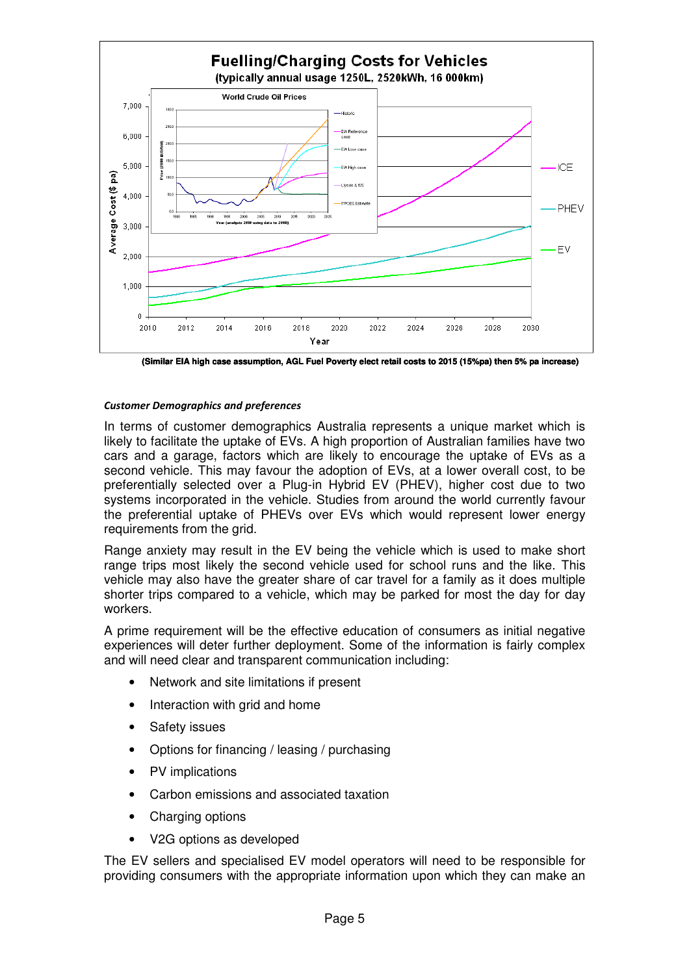

**(Similar EIA high case assumption, AGL Fuel Poverty elect retail costs to 2015 (15%pa) then 5% pa increase)**

#### Customer Demographics and preferences

In terms of customer demographics Australia represents a unique market which is likely to facilitate the uptake of EVs. A high proportion of Australian families have two cars and a garage, factors which are likely to encourage the uptake of EVs as a second vehicle. This may favour the adoption of EVs, at a lower overall cost, to be preferentially selected over a Plug-in Hybrid EV (PHEV), higher cost due to two systems incorporated in the vehicle. Studies from around the world currently favour the preferential uptake of PHEVs over EVs which would represent lower energy requirements from the grid.

Range anxiety may result in the EV being the vehicle which is used to make short range trips most likely the second vehicle used for school runs and the like. This vehicle may also have the greater share of car travel for a family as it does multiple shorter trips compared to a vehicle, which may be parked for most the day for day workers.

A prime requirement will be the effective education of consumers as initial negative experiences will deter further deployment. Some of the information is fairly complex and will need clear and transparent communication including:

- Network and site limitations if present
- Interaction with grid and home
- Safety issues
- Options for financing / leasing / purchasing
- PV implications
- Carbon emissions and associated taxation
- Charging options
- V2G options as developed

The EV sellers and specialised EV model operators will need to be responsible for providing consumers with the appropriate information upon which they can make an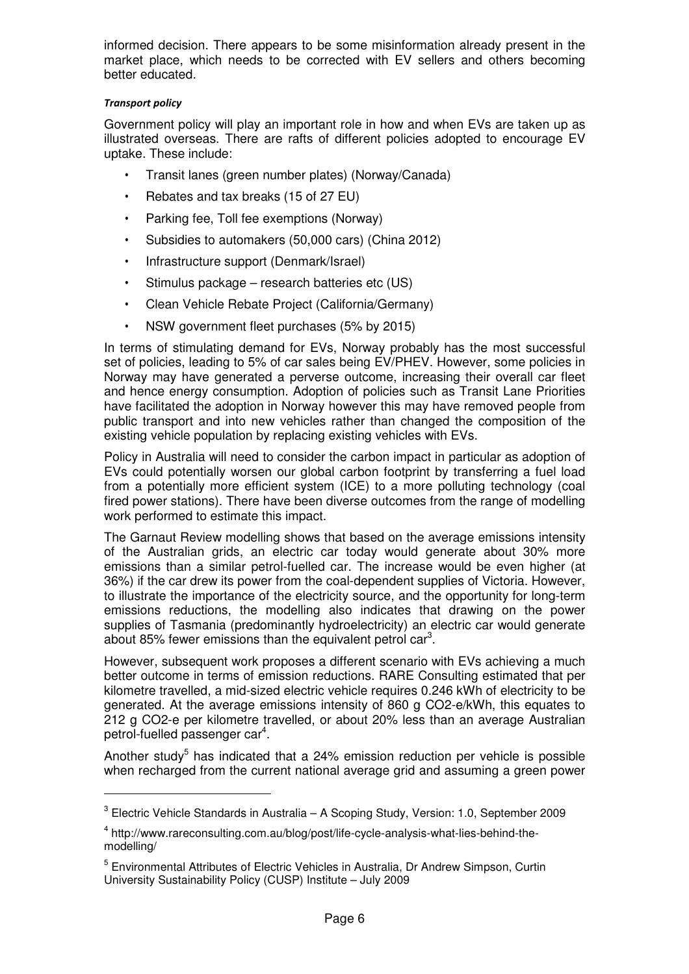informed decision. There appears to be some misinformation already present in the market place, which needs to be corrected with EV sellers and others becoming better educated.

# Transport policy

 $\overline{a}$ 

Government policy will play an important role in how and when EVs are taken up as illustrated overseas. There are rafts of different policies adopted to encourage EV uptake. These include:

- Transit lanes (green number plates) (Norway/Canada)
- Rebates and tax breaks (15 of 27 EU)
- Parking fee, Toll fee exemptions (Norway)
- Subsidies to automakers (50,000 cars) (China 2012)
- Infrastructure support (Denmark/Israel)
- Stimulus package research batteries etc (US)
- Clean Vehicle Rebate Project (California/Germany)
- NSW government fleet purchases (5% by 2015)

In terms of stimulating demand for EVs, Norway probably has the most successful set of policies, leading to 5% of car sales being EV/PHEV. However, some policies in Norway may have generated a perverse outcome, increasing their overall car fleet and hence energy consumption. Adoption of policies such as Transit Lane Priorities have facilitated the adoption in Norway however this may have removed people from public transport and into new vehicles rather than changed the composition of the existing vehicle population by replacing existing vehicles with EVs.

Policy in Australia will need to consider the carbon impact in particular as adoption of EVs could potentially worsen our global carbon footprint by transferring a fuel load from a potentially more efficient system (ICE) to a more polluting technology (coal fired power stations). There have been diverse outcomes from the range of modelling work performed to estimate this impact.

The Garnaut Review modelling shows that based on the average emissions intensity of the Australian grids, an electric car today would generate about 30% more emissions than a similar petrol-fuelled car. The increase would be even higher (at 36%) if the car drew its power from the coal-dependent supplies of Victoria. However, to illustrate the importance of the electricity source, and the opportunity for long-term emissions reductions, the modelling also indicates that drawing on the power supplies of Tasmania (predominantly hydroelectricity) an electric car would generate about 85% fewer emissions than the equivalent petrol car<sup>3</sup>.

However, subsequent work proposes a different scenario with EVs achieving a much better outcome in terms of emission reductions. RARE Consulting estimated that per kilometre travelled, a mid-sized electric vehicle requires 0.246 kWh of electricity to be generated. At the average emissions intensity of 860 g CO2-e/kWh, this equates to 212 g CO2-e per kilometre travelled, or about 20% less than an average Australian petrol-fuelled passenger car<sup>4</sup>.

Another study<sup>5</sup> has indicated that a 24% emission reduction per vehicle is possible when recharged from the current national average grid and assuming a green power

<sup>&</sup>lt;sup>3</sup> Electric Vehicle Standards in Australia – A Scoping Study, Version: 1.0, September 2009

<sup>&</sup>lt;sup>4</sup> http://www.rareconsulting.com.au/blog/post/life-cycle-analysis-what-lies-behind-themodelling/

<sup>&</sup>lt;sup>5</sup> Environmental Attributes of Electric Vehicles in Australia, Dr Andrew Simpson, Curtin University Sustainability Policy (CUSP) Institute – July 2009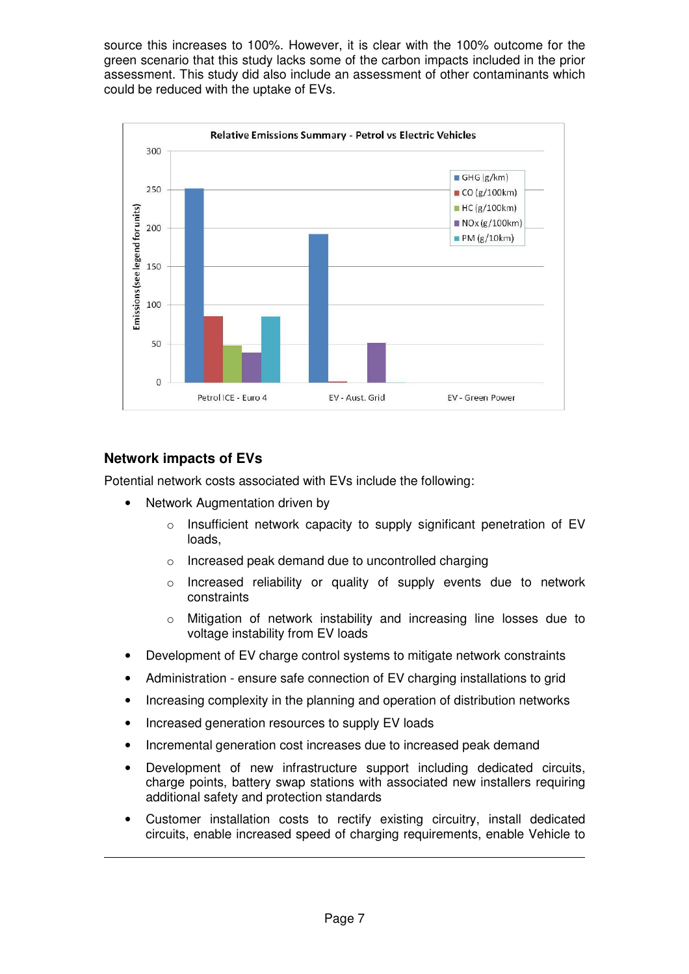source this increases to 100%. However, it is clear with the 100% outcome for the green scenario that this study lacks some of the carbon impacts included in the prior assessment. This study did also include an assessment of other contaminants which could be reduced with the uptake of EVs.



# **Network impacts of EVs**

 $\overline{a}$ 

Potential network costs associated with EVs include the following:

- Network Augmentation driven by
	- o Insufficient network capacity to supply significant penetration of EV loads,
	- o Increased peak demand due to uncontrolled charging
	- o Increased reliability or quality of supply events due to network constraints
	- o Mitigation of network instability and increasing line losses due to voltage instability from EV loads
- Development of EV charge control systems to mitigate network constraints
- Administration ensure safe connection of EV charging installations to grid
- Increasing complexity in the planning and operation of distribution networks
- Increased generation resources to supply EV loads
- Incremental generation cost increases due to increased peak demand
- Development of new infrastructure support including dedicated circuits, charge points, battery swap stations with associated new installers requiring additional safety and protection standards
- Customer installation costs to rectify existing circuitry, install dedicated circuits, enable increased speed of charging requirements, enable Vehicle to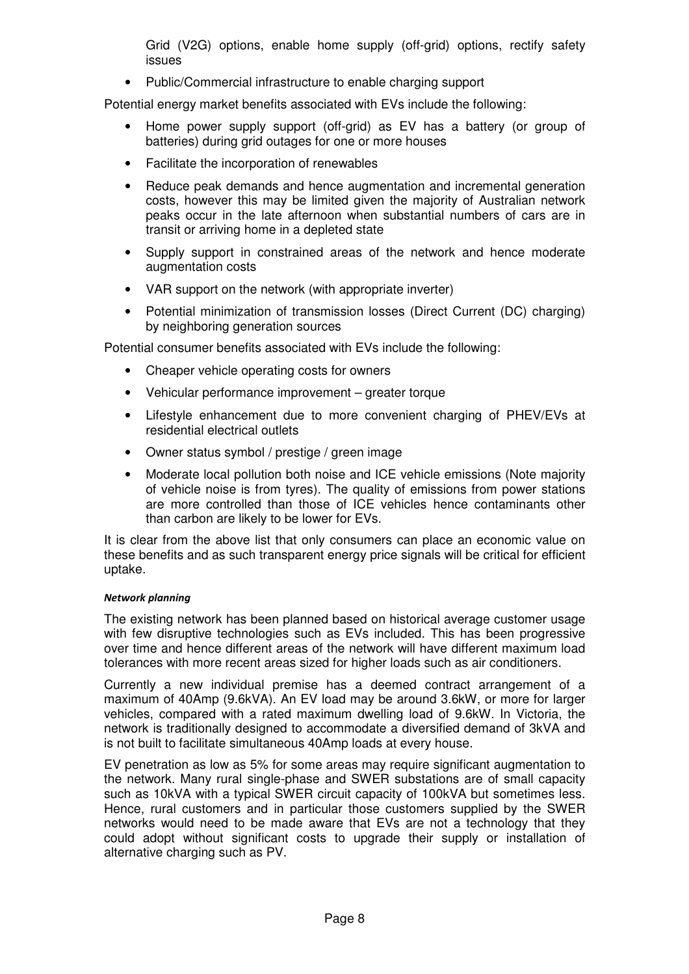Grid (V2G) options, enable home supply (off-grid) options, rectify safety issues

• Public/Commercial infrastructure to enable charging support

Potential energy market benefits associated with EVs include the following:

- Home power supply support (off-grid) as EV has a battery (or group of batteries) during grid outages for one or more houses
- Facilitate the incorporation of renewables
- Reduce peak demands and hence augmentation and incremental generation costs, however this may be limited given the majority of Australian network peaks occur in the late afternoon when substantial numbers of cars are in transit or arriving home in a depleted state
- Supply support in constrained areas of the network and hence moderate augmentation costs
- VAR support on the network (with appropriate inverter)
- Potential minimization of transmission losses (Direct Current (DC) charging) by neighboring generation sources

Potential consumer benefits associated with EVs include the following:

- Cheaper vehicle operating costs for owners
- Vehicular performance improvement greater torque
- Lifestyle enhancement due to more convenient charging of PHEV/EVs at residential electrical outlets
- Owner status symbol / prestige / green image
- Moderate local pollution both noise and ICE vehicle emissions (Note majority of vehicle noise is from tyres). The quality of emissions from power stations are more controlled than those of ICE vehicles hence contaminants other than carbon are likely to be lower for EVs.

It is clear from the above list that only consumers can place an economic value on these benefits and as such transparent energy price signals will be critical for efficient uptake.

#### Network planning

The existing network has been planned based on historical average customer usage with few disruptive technologies such as EVs included. This has been progressive over time and hence different areas of the network will have different maximum load tolerances with more recent areas sized for higher loads such as air conditioners.

Currently a new individual premise has a deemed contract arrangement of a maximum of 40Amp (9.6kVA). An EV load may be around 3.6kW, or more for larger vehicles, compared with a rated maximum dwelling load of 9.6kW. In Victoria, the network is traditionally designed to accommodate a diversified demand of 3kVA and is not built to facilitate simultaneous 40Amp loads at every house.

EV penetration as low as 5% for some areas may require significant augmentation to the network. Many rural single-phase and SWER substations are of small capacity such as 10kVA with a typical SWER circuit capacity of 100kVA but sometimes less. Hence, rural customers and in particular those customers supplied by the SWER networks would need to be made aware that EVs are not a technology that they could adopt without significant costs to upgrade their supply or installation of alternative charging such as PV.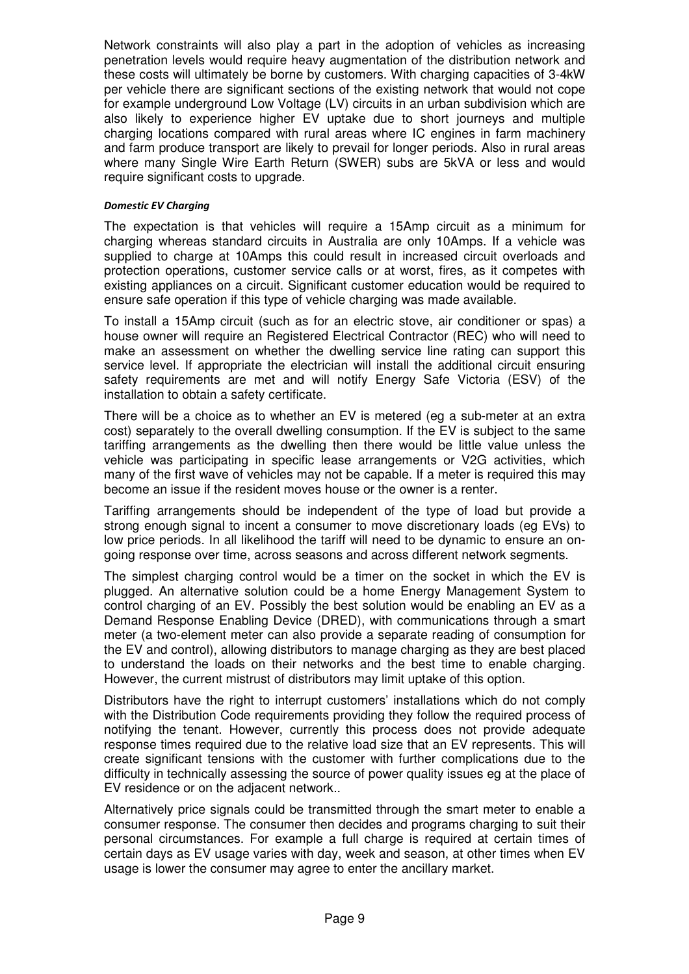Network constraints will also play a part in the adoption of vehicles as increasing penetration levels would require heavy augmentation of the distribution network and these costs will ultimately be borne by customers. With charging capacities of 3-4kW per vehicle there are significant sections of the existing network that would not cope for example underground Low Voltage (LV) circuits in an urban subdivision which are also likely to experience higher EV uptake due to short journeys and multiple charging locations compared with rural areas where IC engines in farm machinery and farm produce transport are likely to prevail for longer periods. Also in rural areas where many Single Wire Earth Return (SWER) subs are 5kVA or less and would require significant costs to upgrade.

#### Domestic EV Charging

The expectation is that vehicles will require a 15Amp circuit as a minimum for charging whereas standard circuits in Australia are only 10Amps. If a vehicle was supplied to charge at 10Amps this could result in increased circuit overloads and protection operations, customer service calls or at worst, fires, as it competes with existing appliances on a circuit. Significant customer education would be required to ensure safe operation if this type of vehicle charging was made available.

To install a 15Amp circuit (such as for an electric stove, air conditioner or spas) a house owner will require an Registered Electrical Contractor (REC) who will need to make an assessment on whether the dwelling service line rating can support this service level. If appropriate the electrician will install the additional circuit ensuring safety requirements are met and will notify Energy Safe Victoria (ESV) of the installation to obtain a safety certificate.

There will be a choice as to whether an EV is metered (eg a sub-meter at an extra cost) separately to the overall dwelling consumption. If the EV is subject to the same tariffing arrangements as the dwelling then there would be little value unless the vehicle was participating in specific lease arrangements or V2G activities, which many of the first wave of vehicles may not be capable. If a meter is required this may become an issue if the resident moves house or the owner is a renter.

Tariffing arrangements should be independent of the type of load but provide a strong enough signal to incent a consumer to move discretionary loads (eg EVs) to low price periods. In all likelihood the tariff will need to be dynamic to ensure an ongoing response over time, across seasons and across different network segments.

The simplest charging control would be a timer on the socket in which the EV is plugged. An alternative solution could be a home Energy Management System to control charging of an EV. Possibly the best solution would be enabling an EV as a Demand Response Enabling Device (DRED), with communications through a smart meter (a two-element meter can also provide a separate reading of consumption for the EV and control), allowing distributors to manage charging as they are best placed to understand the loads on their networks and the best time to enable charging. However, the current mistrust of distributors may limit uptake of this option.

Distributors have the right to interrupt customers' installations which do not comply with the Distribution Code requirements providing they follow the required process of notifying the tenant. However, currently this process does not provide adequate response times required due to the relative load size that an EV represents. This will create significant tensions with the customer with further complications due to the difficulty in technically assessing the source of power quality issues eg at the place of EV residence or on the adjacent network..

Alternatively price signals could be transmitted through the smart meter to enable a consumer response. The consumer then decides and programs charging to suit their personal circumstances. For example a full charge is required at certain times of certain days as EV usage varies with day, week and season, at other times when EV usage is lower the consumer may agree to enter the ancillary market.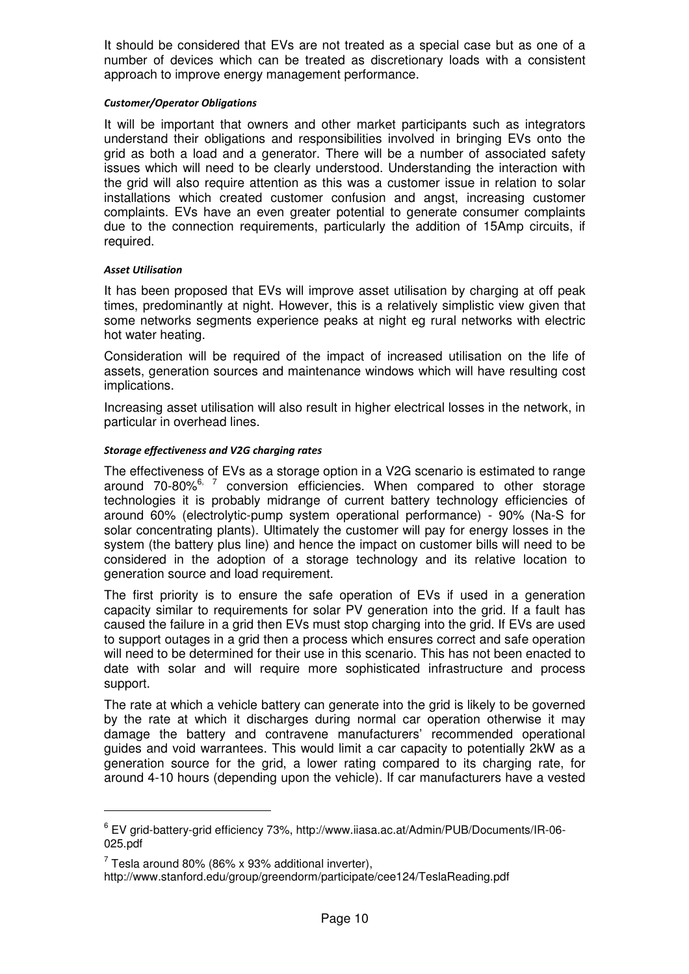It should be considered that EVs are not treated as a special case but as one of a number of devices which can be treated as discretionary loads with a consistent approach to improve energy management performance.

#### Customer/Operator Obligations

It will be important that owners and other market participants such as integrators understand their obligations and responsibilities involved in bringing EVs onto the grid as both a load and a generator. There will be a number of associated safety issues which will need to be clearly understood. Understanding the interaction with the grid will also require attention as this was a customer issue in relation to solar installations which created customer confusion and angst, increasing customer complaints. EVs have an even greater potential to generate consumer complaints due to the connection requirements, particularly the addition of 15Amp circuits, if required.

#### Asset Utilisation

It has been proposed that EVs will improve asset utilisation by charging at off peak times, predominantly at night. However, this is a relatively simplistic view given that some networks segments experience peaks at night eg rural networks with electric hot water heating.

Consideration will be required of the impact of increased utilisation on the life of assets, generation sources and maintenance windows which will have resulting cost implications.

Increasing asset utilisation will also result in higher electrical losses in the network, in particular in overhead lines.

#### Storage effectiveness and V2G charging rates

The effectiveness of EVs as a storage option in a V2G scenario is estimated to range around  $70-80\%$ <sup>6, 7</sup> conversion efficiencies. When compared to other storage technologies it is probably midrange of current battery technology efficiencies of around 60% (electrolytic-pump system operational performance) - 90% (Na-S for solar concentrating plants). Ultimately the customer will pay for energy losses in the system (the battery plus line) and hence the impact on customer bills will need to be considered in the adoption of a storage technology and its relative location to generation source and load requirement.

The first priority is to ensure the safe operation of EVs if used in a generation capacity similar to requirements for solar PV generation into the grid. If a fault has caused the failure in a grid then EVs must stop charging into the grid. If EVs are used to support outages in a grid then a process which ensures correct and safe operation will need to be determined for their use in this scenario. This has not been enacted to date with solar and will require more sophisticated infrastructure and process support.

The rate at which a vehicle battery can generate into the grid is likely to be governed by the rate at which it discharges during normal car operation otherwise it may damage the battery and contravene manufacturers' recommended operational guides and void warrantees. This would limit a car capacity to potentially 2kW as a generation source for the grid, a lower rating compared to its charging rate, for around 4-10 hours (depending upon the vehicle). If car manufacturers have a vested

<sup>6</sup> EV grid-battery-grid efficiency 73%, http://www.iiasa.ac.at/Admin/PUB/Documents/IR-06- 025.pdf

 $^7$  Tesla around 80% (86% x 93% additional inverter),

http://www.stanford.edu/group/greendorm/participate/cee124/TeslaReading.pdf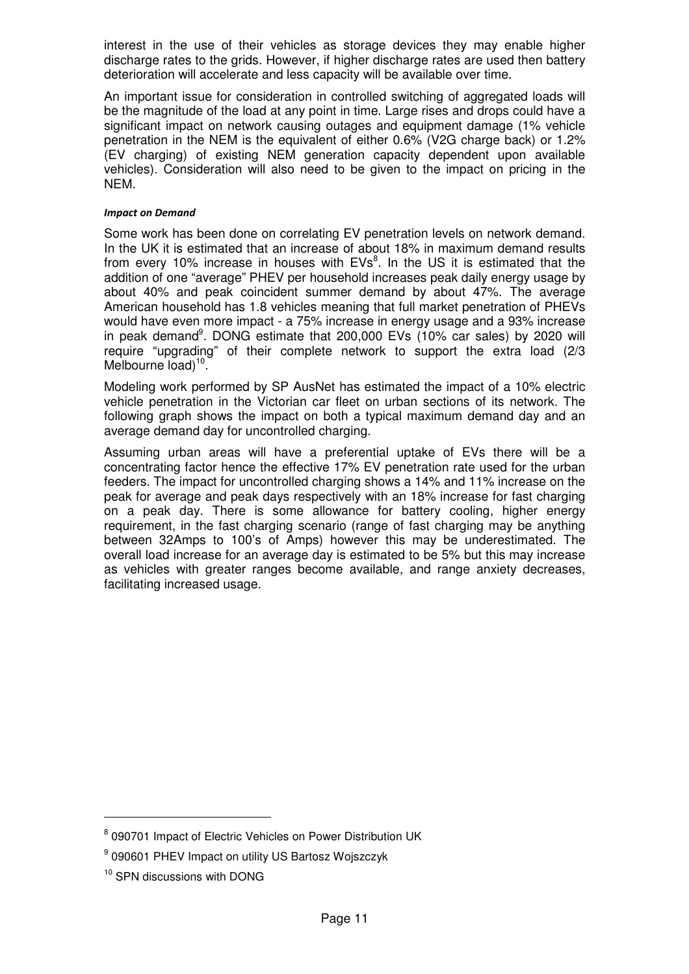interest in the use of their vehicles as storage devices they may enable higher discharge rates to the grids. However, if higher discharge rates are used then battery deterioration will accelerate and less capacity will be available over time.

An important issue for consideration in controlled switching of aggregated loads will be the magnitude of the load at any point in time. Large rises and drops could have a significant impact on network causing outages and equipment damage (1% vehicle penetration in the NEM is the equivalent of either 0.6% (V2G charge back) or 1.2% (EV charging) of existing NEM generation capacity dependent upon available vehicles). Consideration will also need to be given to the impact on pricing in the NEM.

#### Impact on Demand

Some work has been done on correlating EV penetration levels on network demand. In the UK it is estimated that an increase of about 18% in maximum demand results from every 10% increase in houses with  $EVs^8$ . In the US it is estimated that the addition of one "average" PHEV per household increases peak daily energy usage by about 40% and peak coincident summer demand by about 47%. The average American household has 1.8 vehicles meaning that full market penetration of PHEVs would have even more impact - a 75% increase in energy usage and a 93% increase in peak demand<sup>9</sup>. DONG estimate that 200,000 EVs (10% car sales) by 2020 will require "upgrading" of their complete network to support the extra load (2/3 Melbourne load)<sup>10</sup>.

Modeling work performed by SP AusNet has estimated the impact of a 10% electric vehicle penetration in the Victorian car fleet on urban sections of its network. The following graph shows the impact on both a typical maximum demand day and an average demand day for uncontrolled charging.

Assuming urban areas will have a preferential uptake of EVs there will be a concentrating factor hence the effective 17% EV penetration rate used for the urban feeders. The impact for uncontrolled charging shows a 14% and 11% increase on the peak for average and peak days respectively with an 18% increase for fast charging on a peak day. There is some allowance for battery cooling, higher energy requirement, in the fast charging scenario (range of fast charging may be anything between 32Amps to 100's of Amps) however this may be underestimated. The overall load increase for an average day is estimated to be 5% but this may increase as vehicles with greater ranges become available, and range anxiety decreases, facilitating increased usage.

 $\overline{a}$ 

<sup>&</sup>lt;sup>8</sup> 090701 Impact of Electric Vehicles on Power Distribution UK

<sup>9</sup> 090601 PHEV Impact on utility US Bartosz Wojszczyk

<sup>&</sup>lt;sup>10</sup> SPN discussions with DONG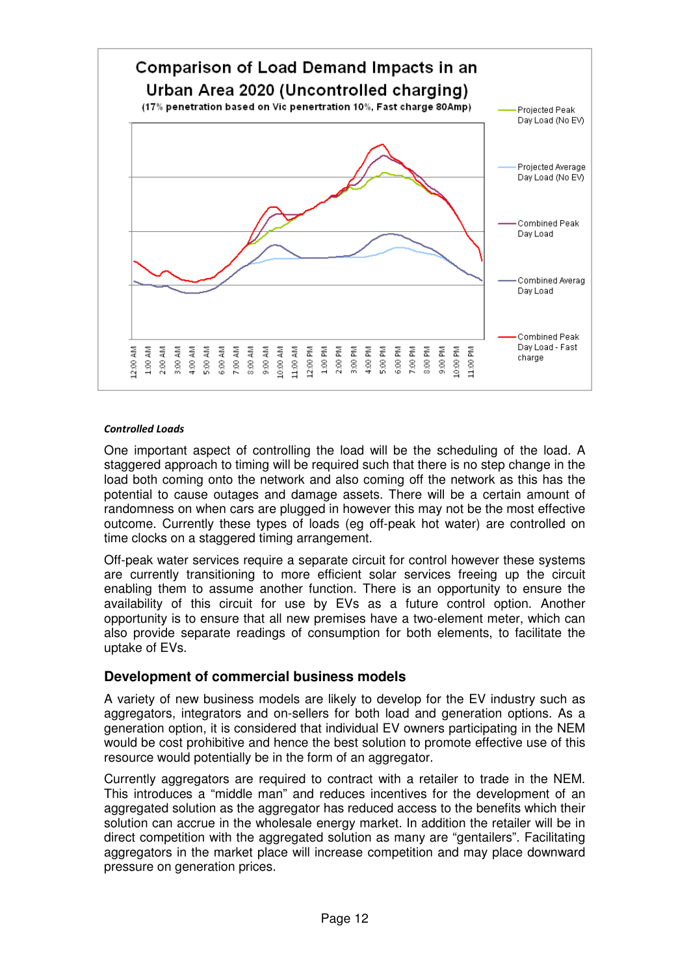

#### Controlled Loads

One important aspect of controlling the load will be the scheduling of the load. A staggered approach to timing will be required such that there is no step change in the load both coming onto the network and also coming off the network as this has the potential to cause outages and damage assets. There will be a certain amount of randomness on when cars are plugged in however this may not be the most effective outcome. Currently these types of loads (eg off-peak hot water) are controlled on time clocks on a staggered timing arrangement.

Off-peak water services require a separate circuit for control however these systems are currently transitioning to more efficient solar services freeing up the circuit enabling them to assume another function. There is an opportunity to ensure the availability of this circuit for use by EVs as a future control option. Another opportunity is to ensure that all new premises have a two-element meter, which can also provide separate readings of consumption for both elements, to facilitate the uptake of EVs.

# **Development of commercial business models**

A variety of new business models are likely to develop for the EV industry such as aggregators, integrators and on-sellers for both load and generation options. As a generation option, it is considered that individual EV owners participating in the NEM would be cost prohibitive and hence the best solution to promote effective use of this resource would potentially be in the form of an aggregator.

Currently aggregators are required to contract with a retailer to trade in the NEM. This introduces a "middle man" and reduces incentives for the development of an aggregated solution as the aggregator has reduced access to the benefits which their solution can accrue in the wholesale energy market. In addition the retailer will be in direct competition with the aggregated solution as many are "gentailers". Facilitating aggregators in the market place will increase competition and may place downward pressure on generation prices.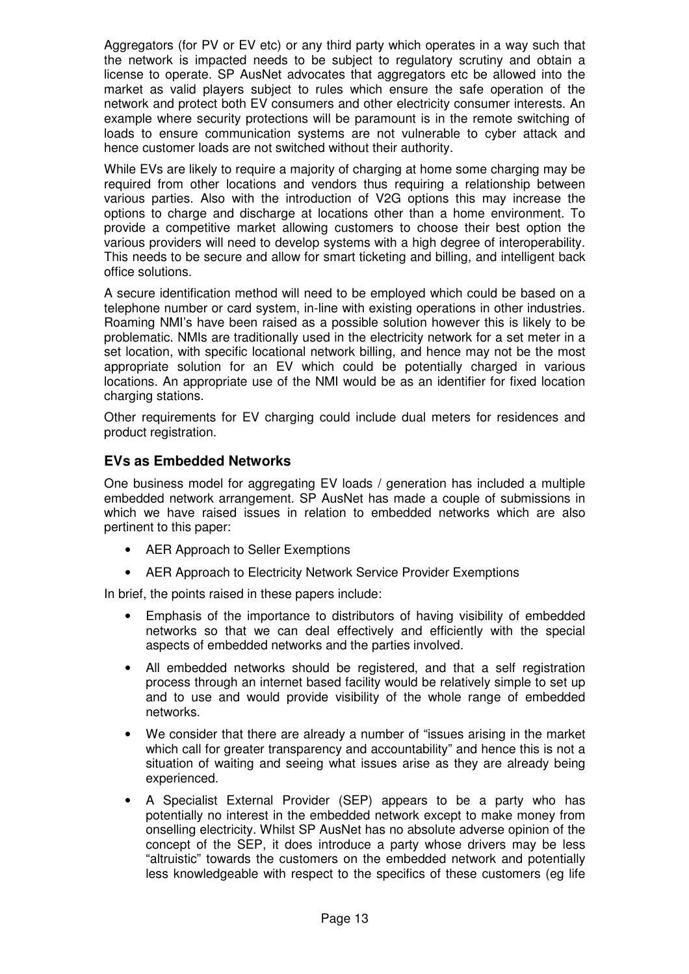Aggregators (for PV or EV etc) or any third party which operates in a way such that the network is impacted needs to be subject to regulatory scrutiny and obtain a license to operate. SP AusNet advocates that aggregators etc be allowed into the market as valid players subject to rules which ensure the safe operation of the network and protect both EV consumers and other electricity consumer interests. An example where security protections will be paramount is in the remote switching of loads to ensure communication systems are not vulnerable to cyber attack and hence customer loads are not switched without their authority.

While EVs are likely to require a majority of charging at home some charging may be required from other locations and vendors thus requiring a relationship between various parties. Also with the introduction of V2G options this may increase the options to charge and discharge at locations other than a home environment. To provide a competitive market allowing customers to choose their best option the various providers will need to develop systems with a high degree of interoperability. This needs to be secure and allow for smart ticketing and billing, and intelligent back office solutions.

A secure identification method will need to be employed which could be based on a telephone number or card system, in-line with existing operations in other industries. Roaming NMI's have been raised as a possible solution however this is likely to be problematic. NMIs are traditionally used in the electricity network for a set meter in a set location, with specific locational network billing, and hence may not be the most appropriate solution for an EV which could be potentially charged in various locations. An appropriate use of the NMI would be as an identifier for fixed location charging stations.

Other requirements for EV charging could include dual meters for residences and product registration.

# **EVs as Embedded Networks**

One business model for aggregating EV loads / generation has included a multiple embedded network arrangement. SP AusNet has made a couple of submissions in which we have raised issues in relation to embedded networks which are also pertinent to this paper:

- AER Approach to Seller Exemptions
- AER Approach to Electricity Network Service Provider Exemptions

In brief, the points raised in these papers include:

- Emphasis of the importance to distributors of having visibility of embedded networks so that we can deal effectively and efficiently with the special aspects of embedded networks and the parties involved.
- All embedded networks should be registered, and that a self registration process through an internet based facility would be relatively simple to set up and to use and would provide visibility of the whole range of embedded networks.
- We consider that there are already a number of "issues arising in the market which call for greater transparency and accountability" and hence this is not a situation of waiting and seeing what issues arise as they are already being experienced.
- A Specialist External Provider (SEP) appears to be a party who has potentially no interest in the embedded network except to make money from onselling electricity. Whilst SP AusNet has no absolute adverse opinion of the concept of the SEP, it does introduce a party whose drivers may be less "altruistic" towards the customers on the embedded network and potentially less knowledgeable with respect to the specifics of these customers (eg life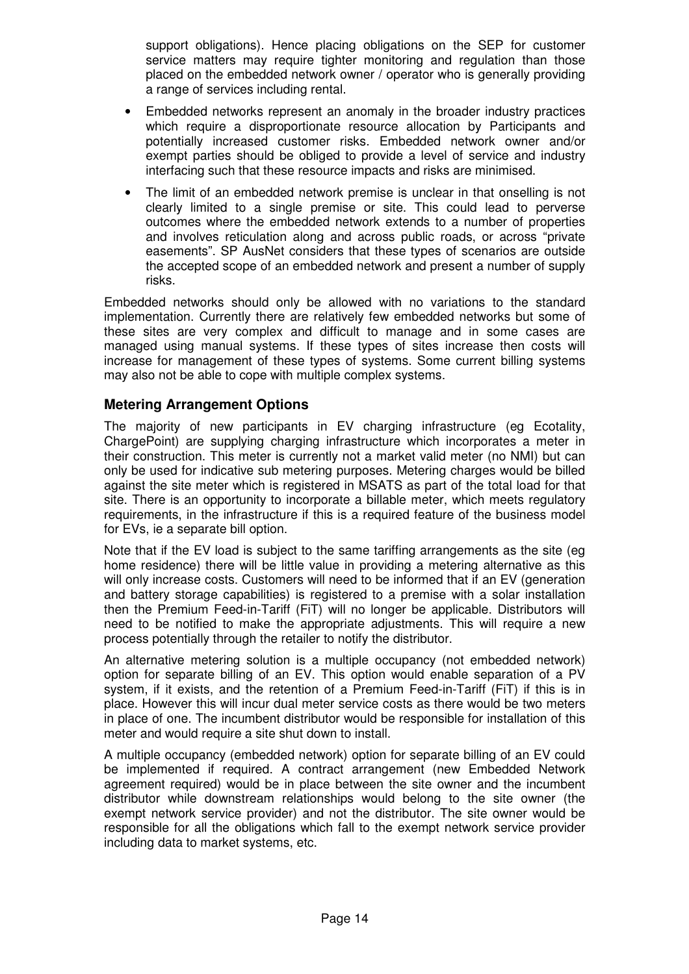support obligations). Hence placing obligations on the SEP for customer service matters may require tighter monitoring and regulation than those placed on the embedded network owner / operator who is generally providing a range of services including rental.

- Embedded networks represent an anomaly in the broader industry practices which require a disproportionate resource allocation by Participants and potentially increased customer risks. Embedded network owner and/or exempt parties should be obliged to provide a level of service and industry interfacing such that these resource impacts and risks are minimised.
- The limit of an embedded network premise is unclear in that onselling is not clearly limited to a single premise or site. This could lead to perverse outcomes where the embedded network extends to a number of properties and involves reticulation along and across public roads, or across "private easements". SP AusNet considers that these types of scenarios are outside the accepted scope of an embedded network and present a number of supply risks.

Embedded networks should only be allowed with no variations to the standard implementation. Currently there are relatively few embedded networks but some of these sites are very complex and difficult to manage and in some cases are managed using manual systems. If these types of sites increase then costs will increase for management of these types of systems. Some current billing systems may also not be able to cope with multiple complex systems.

# **Metering Arrangement Options**

The majority of new participants in EV charging infrastructure (eg Ecotality, ChargePoint) are supplying charging infrastructure which incorporates a meter in their construction. This meter is currently not a market valid meter (no NMI) but can only be used for indicative sub metering purposes. Metering charges would be billed against the site meter which is registered in MSATS as part of the total load for that site. There is an opportunity to incorporate a billable meter, which meets regulatory requirements, in the infrastructure if this is a required feature of the business model for EVs, ie a separate bill option.

Note that if the EV load is subject to the same tariffing arrangements as the site (eg home residence) there will be little value in providing a metering alternative as this will only increase costs. Customers will need to be informed that if an EV (generation and battery storage capabilities) is registered to a premise with a solar installation then the Premium Feed-in-Tariff (FiT) will no longer be applicable. Distributors will need to be notified to make the appropriate adjustments. This will require a new process potentially through the retailer to notify the distributor.

An alternative metering solution is a multiple occupancy (not embedded network) option for separate billing of an EV. This option would enable separation of a PV system, if it exists, and the retention of a Premium Feed-in-Tariff (FiT) if this is in place. However this will incur dual meter service costs as there would be two meters in place of one. The incumbent distributor would be responsible for installation of this meter and would require a site shut down to install.

A multiple occupancy (embedded network) option for separate billing of an EV could be implemented if required. A contract arrangement (new Embedded Network agreement required) would be in place between the site owner and the incumbent distributor while downstream relationships would belong to the site owner (the exempt network service provider) and not the distributor. The site owner would be responsible for all the obligations which fall to the exempt network service provider including data to market systems, etc.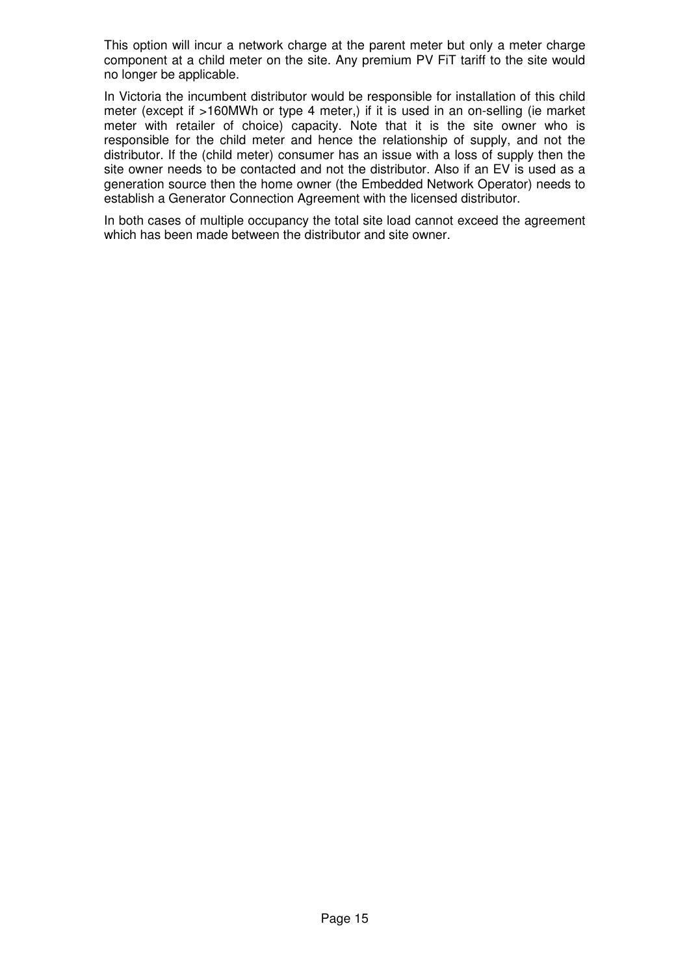This option will incur a network charge at the parent meter but only a meter charge component at a child meter on the site. Any premium PV FiT tariff to the site would no longer be applicable.

In Victoria the incumbent distributor would be responsible for installation of this child meter (except if >160MWh or type 4 meter,) if it is used in an on-selling (ie market meter with retailer of choice) capacity. Note that it is the site owner who is responsible for the child meter and hence the relationship of supply, and not the distributor. If the (child meter) consumer has an issue with a loss of supply then the site owner needs to be contacted and not the distributor. Also if an EV is used as a generation source then the home owner (the Embedded Network Operator) needs to establish a Generator Connection Agreement with the licensed distributor.

In both cases of multiple occupancy the total site load cannot exceed the agreement which has been made between the distributor and site owner.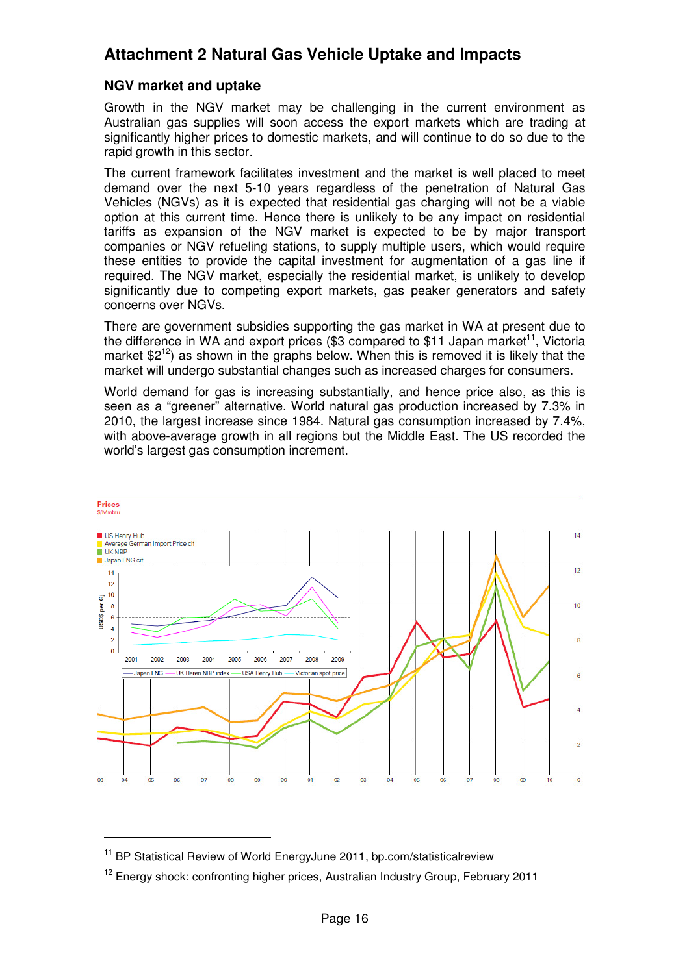# **Attachment 2 Natural Gas Vehicle Uptake and Impacts**

# **NGV market and uptake**

Growth in the NGV market may be challenging in the current environment as Australian gas supplies will soon access the export markets which are trading at significantly higher prices to domestic markets, and will continue to do so due to the rapid growth in this sector.

The current framework facilitates investment and the market is well placed to meet demand over the next 5-10 years regardless of the penetration of Natural Gas Vehicles (NGVs) as it is expected that residential gas charging will not be a viable option at this current time. Hence there is unlikely to be any impact on residential tariffs as expansion of the NGV market is expected to be by major transport companies or NGV refueling stations, to supply multiple users, which would require these entities to provide the capital investment for augmentation of a gas line if required. The NGV market, especially the residential market, is unlikely to develop significantly due to competing export markets, gas peaker generators and safety concerns over NGVs.

There are government subsidies supporting the gas market in WA at present due to the difference in WA and export prices  $(\$3$  compared to \$11 Japan market<sup>11</sup>. Victoria market  $$2^{12}$ ) as shown in the graphs below. When this is removed it is likely that the market will undergo substantial changes such as increased charges for consumers.

World demand for gas is increasing substantially, and hence price also, as this is seen as a "greener" alternative. World natural gas production increased by 7.3% in 2010, the largest increase since 1984. Natural gas consumption increased by 7.4%, with above-average growth in all regions but the Middle East. The US recorded the world's largest gas consumption increment.



<sup>&</sup>lt;sup>11</sup> BP Statistical Review of World EnergyJune 2011, bp.com/statisticalreview

 $\overline{a}$ 

<sup>&</sup>lt;sup>12</sup> Energy shock: confronting higher prices, Australian Industry Group, February 2011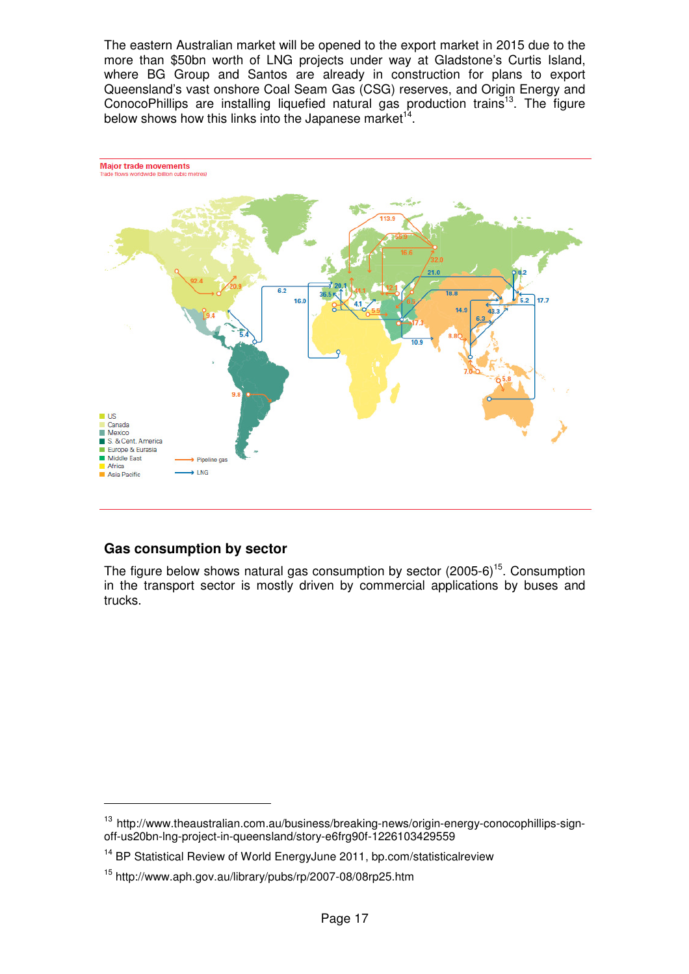The eastern Australian market will be opened to the export market in 2015 due to the more than \$50bn worth of LNG projects under way at Gladstone's Curtis Island, where BG Group and Santos are already in construction for plans to export Queensland's vast onshore Coal Seam Gas (CSG) reserves, and Origin Energy and ConocoPhillips are installing liquefied natural gas production trains<sup>13</sup>. The figure below shows how this links into the Japanese market<sup>14</sup>.



# **Gas consumption by sector**

The figure below shows natural gas consumption by sector  $(2005-6)^{15}$ . Consumption in the transport sector is mostly driven by commercial applications by buses and trucks.

<sup>&</sup>lt;sup>13</sup> http://www.theaustralian.com.au/business/breaking-news/origin-energy-conocophillips-signoff-us20bn-lng-project-in-queensland/story-e6frg90f-1226103429559

<sup>&</sup>lt;sup>14</sup> BP Statistical Review of World EnergyJune 2011, bp.com/statisticalreview

<sup>15</sup> http://www.aph.gov.au/library/pubs/rp/2007-08/08rp25.htm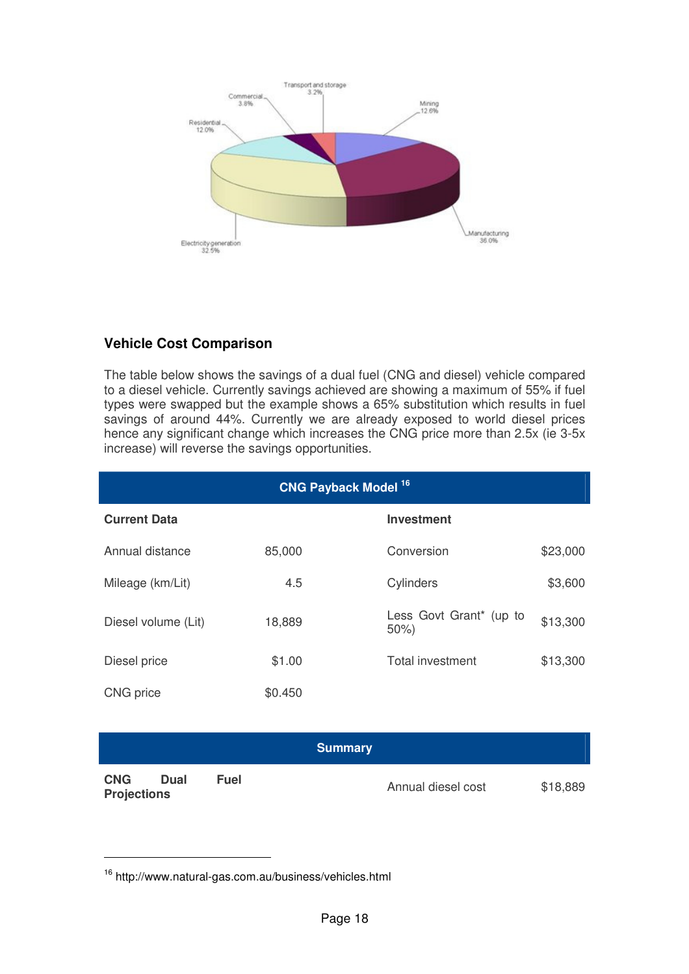

# **Vehicle Cost Comparison**

The table below shows the savings of a dual fuel (CNG and diesel) vehicle compared to a diesel vehicle. Currently savings achieved are showing a maximum of 55% if fuel types were swapped but the example shows a 65% substitution which results in fuel savings of around 44%. Currently we are already exposed to world diesel prices hence any significant change which increases the CNG price more than 2.5x (ie 3-5x increase) will reverse the savings opportunities.

| <b>CNG Payback Model 16</b> |         |                                |          |  |
|-----------------------------|---------|--------------------------------|----------|--|
| <b>Current Data</b>         |         | <b>Investment</b>              |          |  |
| Annual distance             | 85,000  | Conversion                     | \$23,000 |  |
| Mileage (km/Lit)            | 4.5     | Cylinders                      | \$3,600  |  |
| Diesel volume (Lit)         | 18,889  | Less Govt Grant* (up to<br>50% | \$13,300 |  |
| Diesel price                | \$1.00  | <b>Total investment</b>        | \$13,300 |  |
| CNG price                   | \$0.450 |                                |          |  |

# **Summary**

**CNG Dual Fuel**  Annual diesel cost \$18,889

 $\overline{a}$ 

<sup>16</sup> http://www.natural-gas.com.au/business/vehicles.html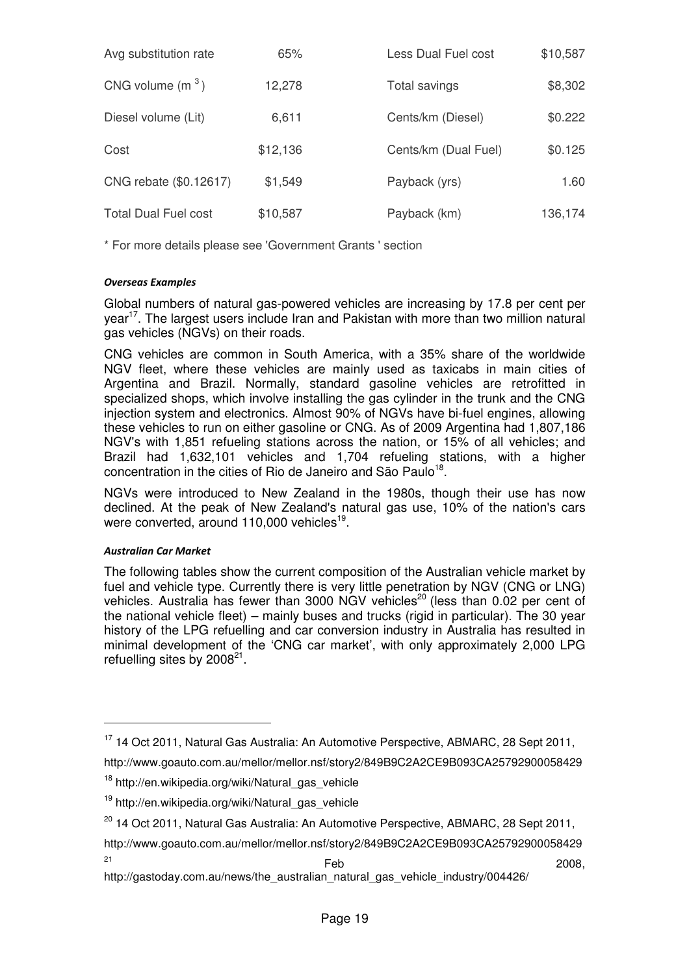| Avg substitution rate       | 65%      | Less Dual Fuel cost  | \$10,587 |
|-----------------------------|----------|----------------------|----------|
| CNG volume $(m^3)$          | 12,278   | Total savings        | \$8,302  |
| Diesel volume (Lit)         | 6,611    | Cents/km (Diesel)    | \$0.222  |
| Cost                        | \$12,136 | Cents/km (Dual Fuel) | \$0.125  |
| CNG rebate (\$0.12617)      | \$1,549  | Payback (yrs)        | 1.60     |
| <b>Total Dual Fuel cost</b> | \$10,587 | Payback (km)         | 136,174  |

\* For more details please see 'Government Grants ' section

# Overseas Examples

Global numbers of natural gas-powered vehicles are increasing by 17.8 per cent per year<sup>17</sup>. The largest users include Iran and Pakistan with more than two million natural gas vehicles (NGVs) on their roads.

CNG vehicles are common in South America, with a 35% share of the worldwide NGV fleet, where these vehicles are mainly used as taxicabs in main cities of Argentina and Brazil. Normally, standard gasoline vehicles are retrofitted in specialized shops, which involve installing the gas cylinder in the trunk and the CNG injection system and electronics. Almost 90% of NGVs have bi-fuel engines, allowing these vehicles to run on either gasoline or CNG. As of 2009 Argentina had 1,807,186 NGV's with 1,851 refueling stations across the nation, or 15% of all vehicles; and Brazil had 1,632,101 vehicles and 1,704 refueling stations, with a higher concentration in the cities of Rio de Janeiro and São Paulo<sup>18</sup>.

NGVs were introduced to New Zealand in the 1980s, though their use has now declined. At the peak of New Zealand's natural gas use, 10% of the nation's cars were converted, around 110,000 vehicles<sup>19</sup>.

# Australian Car Market

 $\overline{a}$ 

The following tables show the current composition of the Australian vehicle market by fuel and vehicle type. Currently there is very little penetration by NGV (CNG or LNG) vehicles. Australia has fewer than 3000 NGV vehicles<sup>20</sup> (less than 0.02 per cent of the national vehicle fleet) – mainly buses and trucks (rigid in particular). The 30 year history of the LPG refuelling and car conversion industry in Australia has resulted in minimal development of the 'CNG car market', with only approximately 2,000 LPG refuelling sites by 2008 $^{21}$ .

 $2008$ ,

<sup>17</sup> 14 Oct 2011, Natural Gas Australia: An Automotive Perspective, ABMARC, 28 Sept 2011,

http://www.goauto.com.au/mellor/mellor.nsf/story2/849B9C2A2CE9B093CA25792900058429

<sup>&</sup>lt;sup>18</sup> http://en.wikipedia.org/wiki/Natural\_gas\_vehicle

<sup>&</sup>lt;sup>19</sup> http://en.wikipedia.org/wiki/Natural\_gas\_vehicle

 $20$  14 Oct 2011, Natural Gas Australia: An Automotive Perspective, ABMARC, 28 Sept 2011,

http://www.goauto.com.au/mellor/mellor.nsf/story2/849B9C2A2CE9B093CA25792900058429

http://gastoday.com.au/news/the\_australian\_natural\_gas\_vehicle\_industry/004426/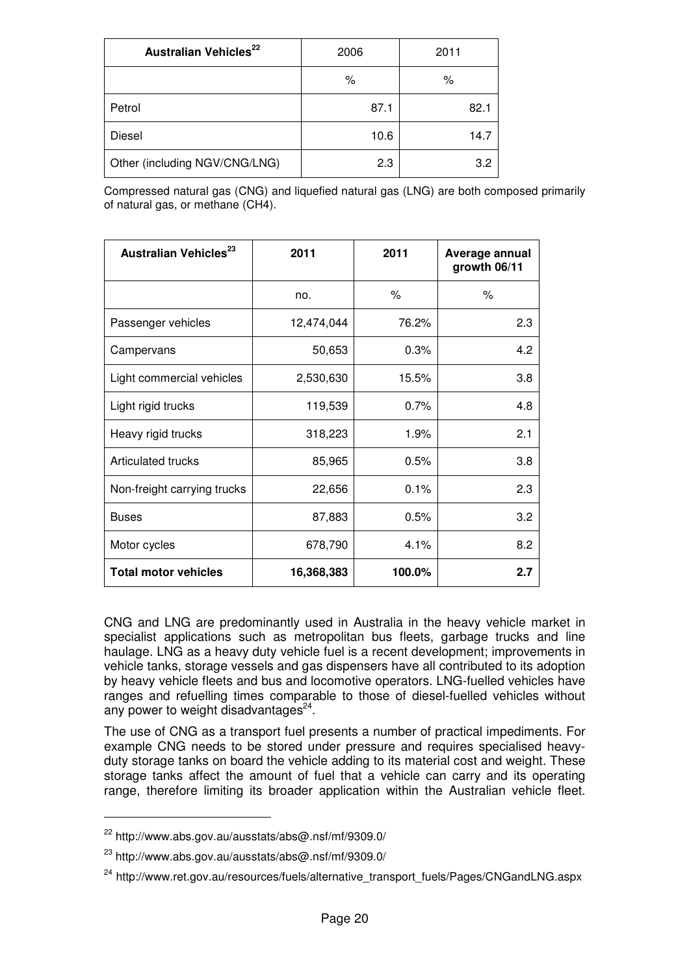| Australian Vehicles <sup>22</sup> | 2006 | 2011 |
|-----------------------------------|------|------|
|                                   | %    | %    |
| Petrol                            | 87.1 | 82.1 |
| Diesel                            | 10.6 | 14.7 |
| Other (including NGV/CNG/LNG)     | 2.3  | 3.2  |

Compressed natural gas (CNG) and liquefied natural gas (LNG) are both composed primarily of natural gas, or methane (CH4).

| Australian Vehicles <sup>23</sup> | 2011       | 2011   | Average annual<br>growth 06/11 |
|-----------------------------------|------------|--------|--------------------------------|
|                                   | no.        | ℅      | %                              |
| Passenger vehicles                | 12,474,044 | 76.2%  | 2.3                            |
| Campervans                        | 50,653     | 0.3%   | 4.2                            |
| Light commercial vehicles         | 2,530,630  | 15.5%  | 3.8                            |
| Light rigid trucks                | 119,539    | 0.7%   | 4.8                            |
| Heavy rigid trucks                | 318,223    | 1.9%   | 2.1                            |
| Articulated trucks                | 85,965     | 0.5%   | 3.8                            |
| Non-freight carrying trucks       | 22,656     | 0.1%   | 2.3                            |
| <b>Buses</b>                      | 87,883     | 0.5%   | 3.2                            |
| Motor cycles                      | 678,790    | 4.1%   | 8.2                            |
| <b>Total motor vehicles</b>       | 16,368,383 | 100.0% | 2.7                            |

CNG and LNG are predominantly used in Australia in the heavy vehicle market in specialist applications such as metropolitan bus fleets, garbage trucks and line haulage. LNG as a heavy duty vehicle fuel is a recent development; improvements in vehicle tanks, storage vessels and gas dispensers have all contributed to its adoption by heavy vehicle fleets and bus and locomotive operators. LNG-fuelled vehicles have ranges and refuelling times comparable to those of diesel-fuelled vehicles without any power to weight disadvantages $24$ .

The use of CNG as a transport fuel presents a number of practical impediments. For example CNG needs to be stored under pressure and requires specialised heavyduty storage tanks on board the vehicle adding to its material cost and weight. These storage tanks affect the amount of fuel that a vehicle can carry and its operating range, therefore limiting its broader application within the Australian vehicle fleet.

 $\overline{a}$ 

 $22$  http://www.abs.gov.au/ausstats/abs@.nsf/mf/9309.0/

 $^{23}$  http://www.abs.gov.au/ausstats/abs@.nsf/mf/9309.0/

<sup>&</sup>lt;sup>24</sup> http://www.ret.gov.au/resources/fuels/alternative\_transport\_fuels/Pages/CNGandLNG.aspx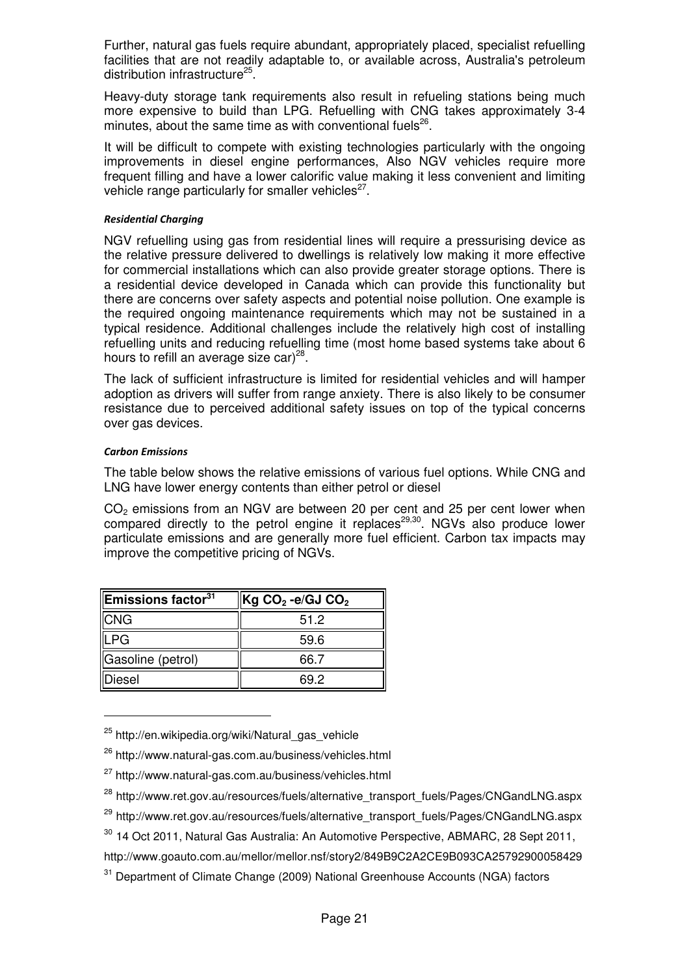Further, natural gas fuels require abundant, appropriately placed, specialist refuelling facilities that are not readily adaptable to, or available across, Australia's petroleum distribution infrastructure<sup>25</sup>.

Heavy-duty storage tank requirements also result in refueling stations being much more expensive to build than LPG. Refuelling with CNG takes approximately 3-4 minutes, about the same time as with conventional fuels $^{26}$ .

It will be difficult to compete with existing technologies particularly with the ongoing improvements in diesel engine performances, Also NGV vehicles require more frequent filling and have a lower calorific value making it less convenient and limiting vehicle range particularly for smaller vehicles $^{27}$ .

### Residential Charging

NGV refuelling using gas from residential lines will require a pressurising device as the relative pressure delivered to dwellings is relatively low making it more effective for commercial installations which can also provide greater storage options. There is a residential device developed in Canada which can provide this functionality but there are concerns over safety aspects and potential noise pollution. One example is the required ongoing maintenance requirements which may not be sustained in a typical residence. Additional challenges include the relatively high cost of installing refuelling units and reducing refuelling time (most home based systems take about 6 hours to refill an average size car)<sup>28</sup>.

The lack of sufficient infrastructure is limited for residential vehicles and will hamper adoption as drivers will suffer from range anxiety. There is also likely to be consumer resistance due to perceived additional safety issues on top of the typical concerns over gas devices.

# Carbon Emissions

 $\overline{a}$ 

The table below shows the relative emissions of various fuel options. While CNG and LNG have lower energy contents than either petrol or diesel

 $CO<sub>2</sub>$  emissions from an NGV are between 20 per cent and 25 per cent lower when compared directly to the petrol engine it replaces<sup>29,30</sup>. NGVs also produce lower particulate emissions and are generally more fuel efficient. Carbon tax impacts may improve the competitive pricing of NGVs.

| $\parallel$ Emissions factor $^{31}$ | $ {\sf Kg~CO_2}$ -e/GJ $\mathsf{CO_2}$ |
|--------------------------------------|----------------------------------------|
| $\ $ CNG                             | 51.2                                   |
| <b>ILPG</b>                          | 59.6                                   |
| Gasoline (petrol)                    | 66.7                                   |
| <b>Diesel</b>                        | 69 2                                   |

<sup>&</sup>lt;sup>25</sup> http://en.wikipedia.org/wiki/Natural\_gas\_vehicle

<sup>26</sup> http://www.natural-gas.com.au/business/vehicles.html

<sup>27</sup> http://www.natural-gas.com.au/business/vehicles.html

<sup>28</sup> http://www.ret.gov.au/resources/fuels/alternative\_transport\_fuels/Pages/CNGandLNG.aspx

<sup>&</sup>lt;sup>29</sup> http://www.ret.gov.au/resources/fuels/alternative\_transport\_fuels/Pages/CNGandLNG.aspx

<sup>30</sup> 14 Oct 2011, Natural Gas Australia: An Automotive Perspective, ABMARC, 28 Sept 2011,

http://www.goauto.com.au/mellor/mellor.nsf/story2/849B9C2A2CE9B093CA25792900058429

<sup>&</sup>lt;sup>31</sup> Department of Climate Change (2009) National Greenhouse Accounts (NGA) factors